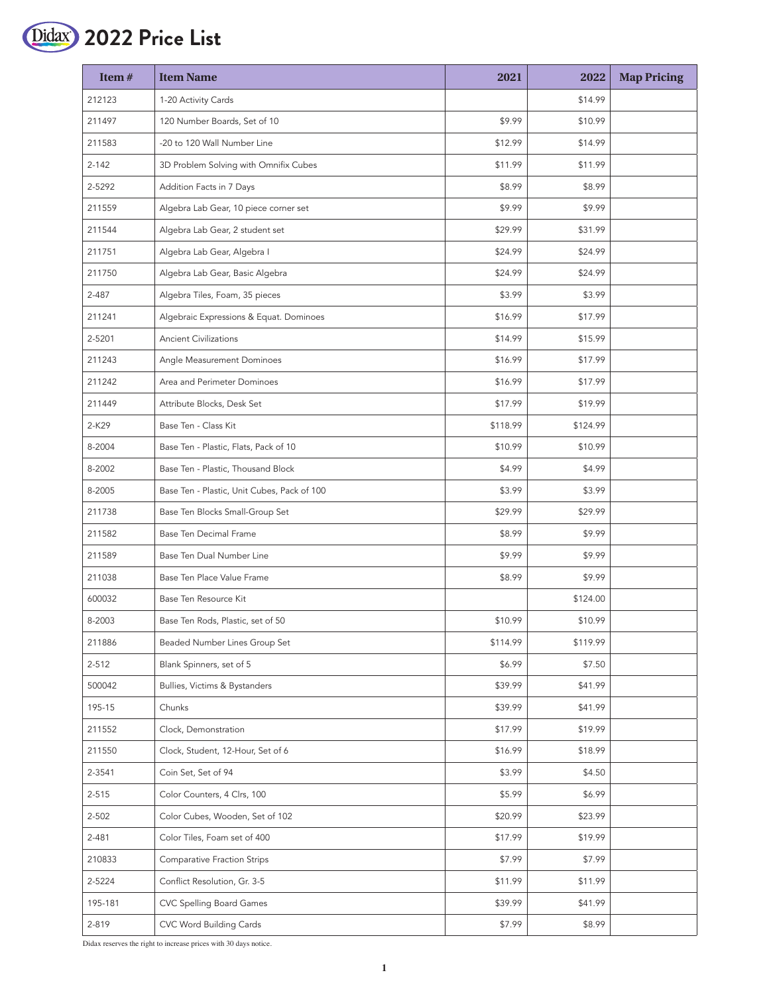

| Item#     | <b>Item Name</b>                            | 2021     | 2022     | <b>Map Pricing</b> |
|-----------|---------------------------------------------|----------|----------|--------------------|
| 212123    | 1-20 Activity Cards                         |          | \$14.99  |                    |
| 211497    | 120 Number Boards, Set of 10                | \$9.99   | \$10.99  |                    |
| 211583    | -20 to 120 Wall Number Line                 | \$12.99  | \$14.99  |                    |
| $2 - 142$ | 3D Problem Solving with Omnifix Cubes       | \$11.99  | \$11.99  |                    |
| 2-5292    | Addition Facts in 7 Days                    | \$8.99   | \$8.99   |                    |
| 211559    | Algebra Lab Gear, 10 piece corner set       | \$9.99   | \$9.99   |                    |
| 211544    | Algebra Lab Gear, 2 student set             | \$29.99  | \$31.99  |                    |
| 211751    | Algebra Lab Gear, Algebra I                 | \$24.99  | \$24.99  |                    |
| 211750    | Algebra Lab Gear, Basic Algebra             | \$24.99  | \$24.99  |                    |
| 2-487     | Algebra Tiles, Foam, 35 pieces              | \$3.99   | \$3.99   |                    |
| 211241    | Algebraic Expressions & Equat. Dominoes     | \$16.99  | \$17.99  |                    |
| 2-5201    | <b>Ancient Civilizations</b>                | \$14.99  | \$15.99  |                    |
| 211243    | Angle Measurement Dominoes                  | \$16.99  | \$17.99  |                    |
| 211242    | Area and Perimeter Dominoes                 | \$16.99  | \$17.99  |                    |
| 211449    | Attribute Blocks, Desk Set                  | \$17.99  | \$19.99  |                    |
| 2-K29     | Base Ten - Class Kit                        | \$118.99 | \$124.99 |                    |
| 8-2004    | Base Ten - Plastic, Flats, Pack of 10       | \$10.99  | \$10.99  |                    |
| 8-2002    | Base Ten - Plastic, Thousand Block          | \$4.99   | \$4.99   |                    |
| 8-2005    | Base Ten - Plastic, Unit Cubes, Pack of 100 | \$3.99   | \$3.99   |                    |
| 211738    | Base Ten Blocks Small-Group Set             | \$29.99  | \$29.99  |                    |
| 211582    | Base Ten Decimal Frame                      | \$8.99   | \$9.99   |                    |
| 211589    | Base Ten Dual Number Line                   | \$9.99   | \$9.99   |                    |
| 211038    | Base Ten Place Value Frame                  | \$8.99   | \$9.99   |                    |
| 600032    | Base Ten Resource Kit                       |          | \$124.00 |                    |
| 8-2003    | Base Ten Rods, Plastic, set of 50           | \$10.99  | \$10.99  |                    |
| 211886    | Beaded Number Lines Group Set               | \$114.99 | \$119.99 |                    |
| $2 - 512$ | Blank Spinners, set of 5                    | \$6.99   | \$7.50   |                    |
| 500042    | Bullies, Victims & Bystanders               | \$39.99  | \$41.99  |                    |
| 195-15    | Chunks                                      | \$39.99  | \$41.99  |                    |
| 211552    | Clock, Demonstration                        | \$17.99  | \$19.99  |                    |
| 211550    | Clock, Student, 12-Hour, Set of 6           | \$16.99  | \$18.99  |                    |
| 2-3541    | Coin Set, Set of 94                         | \$3.99   | \$4.50   |                    |
| $2 - 515$ | Color Counters, 4 Clrs, 100                 | \$5.99   | \$6.99   |                    |
| $2 - 502$ | Color Cubes, Wooden, Set of 102             | \$20.99  | \$23.99  |                    |
| 2-481     | Color Tiles, Foam set of 400                | \$17.99  | \$19.99  |                    |
| 210833    | Comparative Fraction Strips                 | \$7.99   | \$7.99   |                    |
| 2-5224    | Conflict Resolution, Gr. 3-5                | \$11.99  | \$11.99  |                    |
| 195-181   | CVC Spelling Board Games                    | \$39.99  | \$41.99  |                    |
| 2-819     | CVC Word Building Cards                     | \$7.99   | \$8.99   |                    |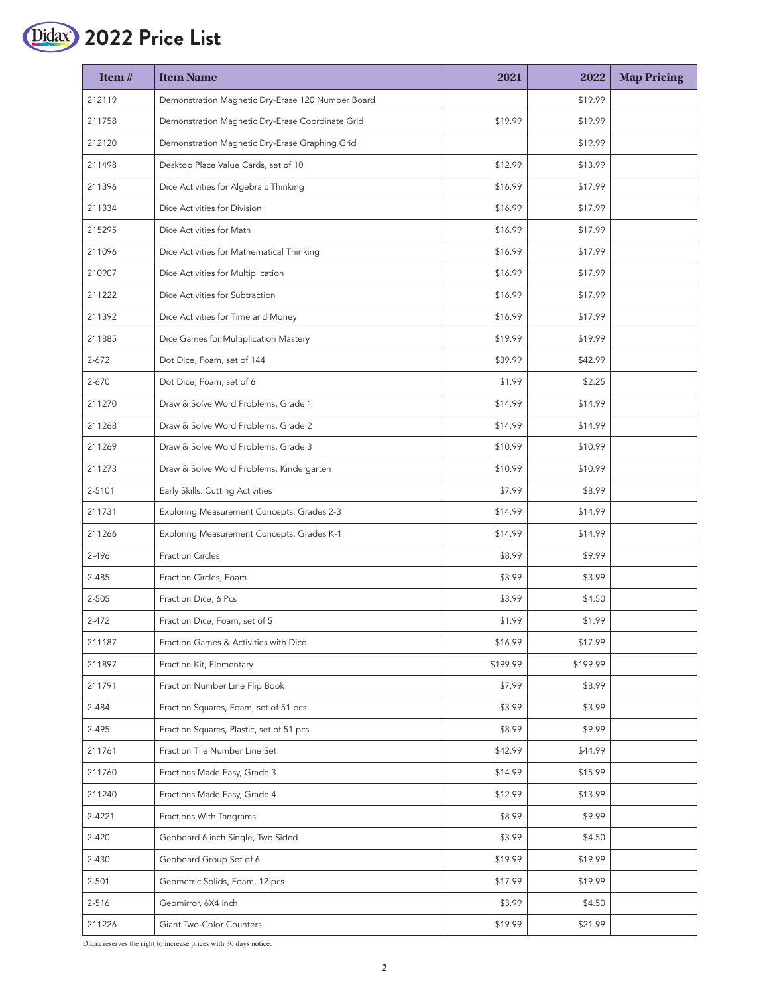

| Item $#$  | <b>Item Name</b>                                  | 2021     | 2022     | <b>Map Pricing</b> |
|-----------|---------------------------------------------------|----------|----------|--------------------|
| 212119    | Demonstration Magnetic Dry-Erase 120 Number Board |          | \$19.99  |                    |
| 211758    | Demonstration Magnetic Dry-Erase Coordinate Grid  | \$19.99  | \$19.99  |                    |
| 212120    | Demonstration Magnetic Dry-Erase Graphing Grid    |          | \$19.99  |                    |
| 211498    | Desktop Place Value Cards, set of 10              | \$12.99  | \$13.99  |                    |
| 211396    | Dice Activities for Algebraic Thinking            | \$16.99  | \$17.99  |                    |
| 211334    | Dice Activities for Division                      | \$16.99  | \$17.99  |                    |
| 215295    | Dice Activities for Math                          | \$16.99  | \$17.99  |                    |
| 211096    | Dice Activities for Mathematical Thinking         | \$16.99  | \$17.99  |                    |
| 210907    | Dice Activities for Multiplication                | \$16.99  | \$17.99  |                    |
| 211222    | Dice Activities for Subtraction                   | \$16.99  | \$17.99  |                    |
| 211392    | Dice Activities for Time and Money                | \$16.99  | \$17.99  |                    |
| 211885    | Dice Games for Multiplication Mastery             | \$19.99  | \$19.99  |                    |
| $2 - 672$ | Dot Dice, Foam, set of 144                        | \$39.99  | \$42.99  |                    |
| 2-670     | Dot Dice, Foam, set of 6                          | \$1.99   | \$2.25   |                    |
| 211270    | Draw & Solve Word Problems, Grade 1               | \$14.99  | \$14.99  |                    |
| 211268    | Draw & Solve Word Problems, Grade 2               | \$14.99  | \$14.99  |                    |
| 211269    | Draw & Solve Word Problems, Grade 3               | \$10.99  | \$10.99  |                    |
| 211273    | Draw & Solve Word Problems, Kindergarten          | \$10.99  | \$10.99  |                    |
| 2-5101    | Early Skills: Cutting Activities                  | \$7.99   | \$8.99   |                    |
| 211731    | Exploring Measurement Concepts, Grades 2-3        | \$14.99  | \$14.99  |                    |
| 211266    | Exploring Measurement Concepts, Grades K-1        | \$14.99  | \$14.99  |                    |
| 2-496     | <b>Fraction Circles</b>                           | \$8.99   | \$9.99   |                    |
| 2-485     | Fraction Circles, Foam                            | \$3.99   | \$3.99   |                    |
| 2-505     | Fraction Dice, 6 Pcs                              | \$3.99   | \$4.50   |                    |
| $2 - 472$ | Fraction Dice, Foam, set of 5                     | \$1.99   | \$1.99   |                    |
| 211187    | Fraction Games & Activities with Dice             | \$16.99  | \$17.99  |                    |
| 211897    | Fraction Kit, Elementary                          | \$199.99 | \$199.99 |                    |
| 211791    | Fraction Number Line Flip Book                    | \$7.99   | \$8.99   |                    |
| 2-484     | Fraction Squares, Foam, set of 51 pcs             | \$3.99   | \$3.99   |                    |
| 2-495     | Fraction Squares, Plastic, set of 51 pcs          | \$8.99   | \$9.99   |                    |
| 211761    | Fraction Tile Number Line Set                     | \$42.99  | \$44.99  |                    |
| 211760    | Fractions Made Easy, Grade 3                      | \$14.99  | \$15.99  |                    |
| 211240    | Fractions Made Easy, Grade 4                      | \$12.99  | \$13.99  |                    |
| 2-4221    | Fractions With Tangrams                           | \$8.99   | \$9.99   |                    |
| $2 - 420$ | Geoboard 6 inch Single, Two Sided                 | \$3.99   | \$4.50   |                    |
| 2-430     | Geoboard Group Set of 6                           | \$19.99  | \$19.99  |                    |
| 2-501     | Geometric Solids, Foam, 12 pcs                    | \$17.99  | \$19.99  |                    |
| 2-516     | Geomirror, 6X4 inch                               | \$3.99   | \$4.50   |                    |
| 211226    | Giant Two-Color Counters                          | \$19.99  | \$21.99  |                    |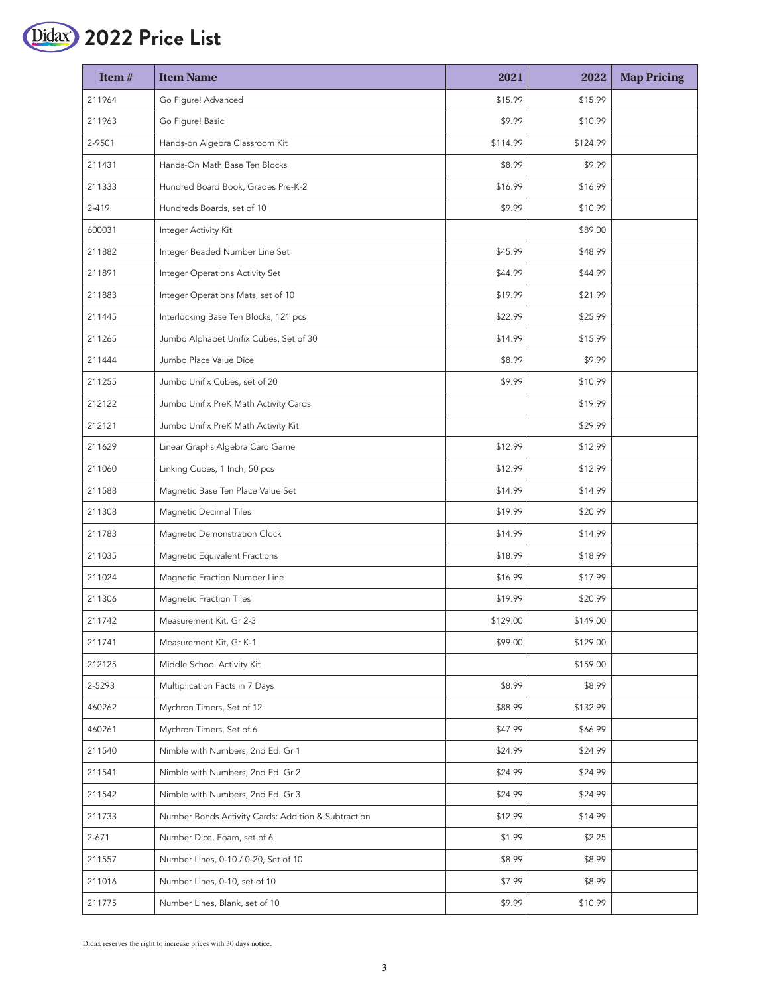

| Item#     | <b>Item Name</b>                                    | 2021     | 2022     | <b>Map Pricing</b> |
|-----------|-----------------------------------------------------|----------|----------|--------------------|
| 211964    | Go Figure! Advanced                                 | \$15.99  | \$15.99  |                    |
| 211963    | Go Figure! Basic                                    | \$9.99   | \$10.99  |                    |
| 2-9501    | Hands-on Algebra Classroom Kit                      | \$114.99 | \$124.99 |                    |
| 211431    | Hands-On Math Base Ten Blocks                       | \$8.99   | \$9.99   |                    |
| 211333    | Hundred Board Book, Grades Pre-K-2                  | \$16.99  | \$16.99  |                    |
| 2-419     | Hundreds Boards, set of 10                          | \$9.99   | \$10.99  |                    |
| 600031    | Integer Activity Kit                                |          | \$89.00  |                    |
| 211882    | Integer Beaded Number Line Set                      | \$45.99  | \$48.99  |                    |
| 211891    | Integer Operations Activity Set                     | \$44.99  | \$44.99  |                    |
| 211883    | Integer Operations Mats, set of 10                  | \$19.99  | \$21.99  |                    |
| 211445    | Interlocking Base Ten Blocks, 121 pcs               | \$22.99  | \$25.99  |                    |
| 211265    | Jumbo Alphabet Unifix Cubes, Set of 30              | \$14.99  | \$15.99  |                    |
| 211444    | Jumbo Place Value Dice                              | \$8.99   | \$9.99   |                    |
| 211255    | Jumbo Unifix Cubes, set of 20                       | \$9.99   | \$10.99  |                    |
| 212122    | Jumbo Unifix PreK Math Activity Cards               |          | \$19.99  |                    |
| 212121    | Jumbo Unifix PreK Math Activity Kit                 |          | \$29.99  |                    |
| 211629    | Linear Graphs Algebra Card Game                     | \$12.99  | \$12.99  |                    |
| 211060    | Linking Cubes, 1 Inch, 50 pcs                       | \$12.99  | \$12.99  |                    |
| 211588    | Magnetic Base Ten Place Value Set                   | \$14.99  | \$14.99  |                    |
| 211308    | <b>Magnetic Decimal Tiles</b>                       | \$19.99  | \$20.99  |                    |
| 211783    | Magnetic Demonstration Clock                        | \$14.99  | \$14.99  |                    |
| 211035    | Magnetic Equivalent Fractions                       | \$18.99  | \$18.99  |                    |
| 211024    | Magnetic Fraction Number Line                       | \$16.99  | \$17.99  |                    |
| 211306    | <b>Magnetic Fraction Tiles</b>                      | \$19.99  | \$20.99  |                    |
| 211742    | Measurement Kit, Gr 2-3                             | \$129.00 | \$149.00 |                    |
| 211741    | Measurement Kit, Gr K-1                             | \$99.00  | \$129.00 |                    |
| 212125    | Middle School Activity Kit                          |          | \$159.00 |                    |
| 2-5293    | Multiplication Facts in 7 Days                      | \$8.99   | \$8.99   |                    |
| 460262    | Mychron Timers, Set of 12                           | \$88.99  | \$132.99 |                    |
| 460261    | Mychron Timers, Set of 6                            | \$47.99  | \$66.99  |                    |
| 211540    | Nimble with Numbers, 2nd Ed. Gr 1                   | \$24.99  | \$24.99  |                    |
| 211541    | Nimble with Numbers, 2nd Ed. Gr 2                   | \$24.99  | \$24.99  |                    |
| 211542    | Nimble with Numbers, 2nd Ed. Gr 3                   | \$24.99  | \$24.99  |                    |
| 211733    | Number Bonds Activity Cards: Addition & Subtraction | \$12.99  | \$14.99  |                    |
| $2 - 671$ | Number Dice, Foam, set of 6                         | \$1.99   | \$2.25   |                    |
| 211557    | Number Lines, 0-10 / 0-20, Set of 10                | \$8.99   | \$8.99   |                    |
| 211016    | Number Lines, 0-10, set of 10                       | \$7.99   | \$8.99   |                    |
| 211775    | Number Lines, Blank, set of 10                      | \$9.99   | \$10.99  |                    |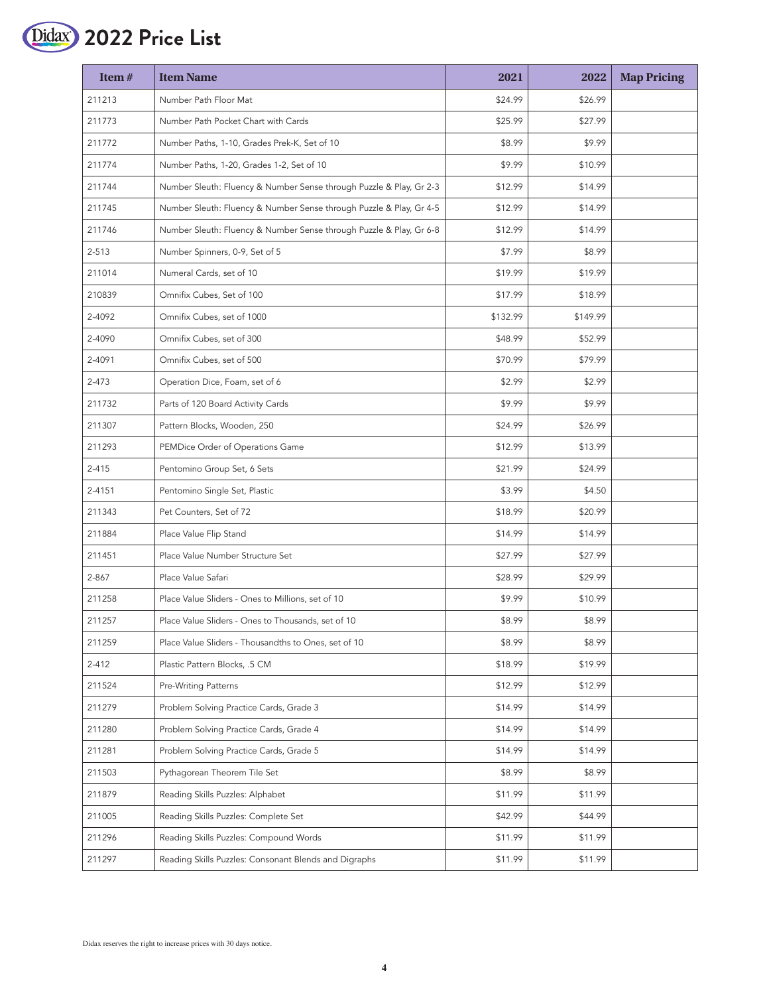

| Item#     | <b>Item Name</b>                                                    | 2021     | 2022     | <b>Map Pricing</b> |
|-----------|---------------------------------------------------------------------|----------|----------|--------------------|
| 211213    | Number Path Floor Mat                                               | \$24.99  | \$26.99  |                    |
| 211773    | Number Path Pocket Chart with Cards                                 | \$25.99  | \$27.99  |                    |
| 211772    | Number Paths, 1-10, Grades Prek-K, Set of 10                        | \$8.99   | \$9.99   |                    |
| 211774    | Number Paths, 1-20, Grades 1-2, Set of 10                           | \$9.99   | \$10.99  |                    |
| 211744    | Number Sleuth: Fluency & Number Sense through Puzzle & Play, Gr 2-3 | \$12.99  | \$14.99  |                    |
| 211745    | Number Sleuth: Fluency & Number Sense through Puzzle & Play, Gr 4-5 | \$12.99  | \$14.99  |                    |
| 211746    | Number Sleuth: Fluency & Number Sense through Puzzle & Play, Gr 6-8 | \$12.99  | \$14.99  |                    |
| $2 - 513$ | Number Spinners, 0-9, Set of 5                                      | \$7.99   | \$8.99   |                    |
| 211014    | Numeral Cards, set of 10                                            | \$19.99  | \$19.99  |                    |
| 210839    | Omnifix Cubes, Set of 100                                           | \$17.99  | \$18.99  |                    |
| 2-4092    | Omnifix Cubes, set of 1000                                          | \$132.99 | \$149.99 |                    |
| 2-4090    | Omnifix Cubes, set of 300                                           | \$48.99  | \$52.99  |                    |
| 2-4091    | Omnifix Cubes, set of 500                                           | \$70.99  | \$79.99  |                    |
| $2 - 473$ | Operation Dice, Foam, set of 6                                      | \$2.99   | \$2.99   |                    |
| 211732    | Parts of 120 Board Activity Cards                                   | \$9.99   | \$9.99   |                    |
| 211307    | Pattern Blocks, Wooden, 250                                         | \$24.99  | \$26.99  |                    |
| 211293    | PEMDice Order of Operations Game                                    | \$12.99  | \$13.99  |                    |
| $2 - 415$ | Pentomino Group Set, 6 Sets                                         | \$21.99  | \$24.99  |                    |
| 2-4151    | Pentomino Single Set, Plastic                                       | \$3.99   | \$4.50   |                    |
| 211343    | Pet Counters, Set of 72                                             | \$18.99  | \$20.99  |                    |
| 211884    | Place Value Flip Stand                                              | \$14.99  | \$14.99  |                    |
| 211451    | Place Value Number Structure Set                                    | \$27.99  | \$27.99  |                    |
| 2-867     | Place Value Safari                                                  | \$28.99  | \$29.99  |                    |
| 211258    | Place Value Sliders - Ones to Millions, set of 10                   | \$9.99   | \$10.99  |                    |
| 211257    | Place Value Sliders - Ones to Thousands, set of 10                  | \$8.99   | \$8.99   |                    |
| 211259    | Place Value Sliders - Thousandths to Ones, set of 10                | \$8.99   | \$8.99   |                    |
| $2 - 412$ | Plastic Pattern Blocks, .5 CM                                       | \$18.99  | \$19.99  |                    |
| 211524    | Pre-Writing Patterns                                                | \$12.99  | \$12.99  |                    |
| 211279    | Problem Solving Practice Cards, Grade 3                             | \$14.99  | \$14.99  |                    |
| 211280    | Problem Solving Practice Cards, Grade 4                             | \$14.99  | \$14.99  |                    |
| 211281    | Problem Solving Practice Cards, Grade 5                             | \$14.99  | \$14.99  |                    |
| 211503    | Pythagorean Theorem Tile Set                                        | \$8.99   | \$8.99   |                    |
| 211879    | Reading Skills Puzzles: Alphabet                                    | \$11.99  | \$11.99  |                    |
| 211005    | Reading Skills Puzzles: Complete Set                                | \$42.99  | \$44.99  |                    |
| 211296    | Reading Skills Puzzles: Compound Words                              | \$11.99  | \$11.99  |                    |
| 211297    | Reading Skills Puzzles: Consonant Blends and Digraphs               | \$11.99  | \$11.99  |                    |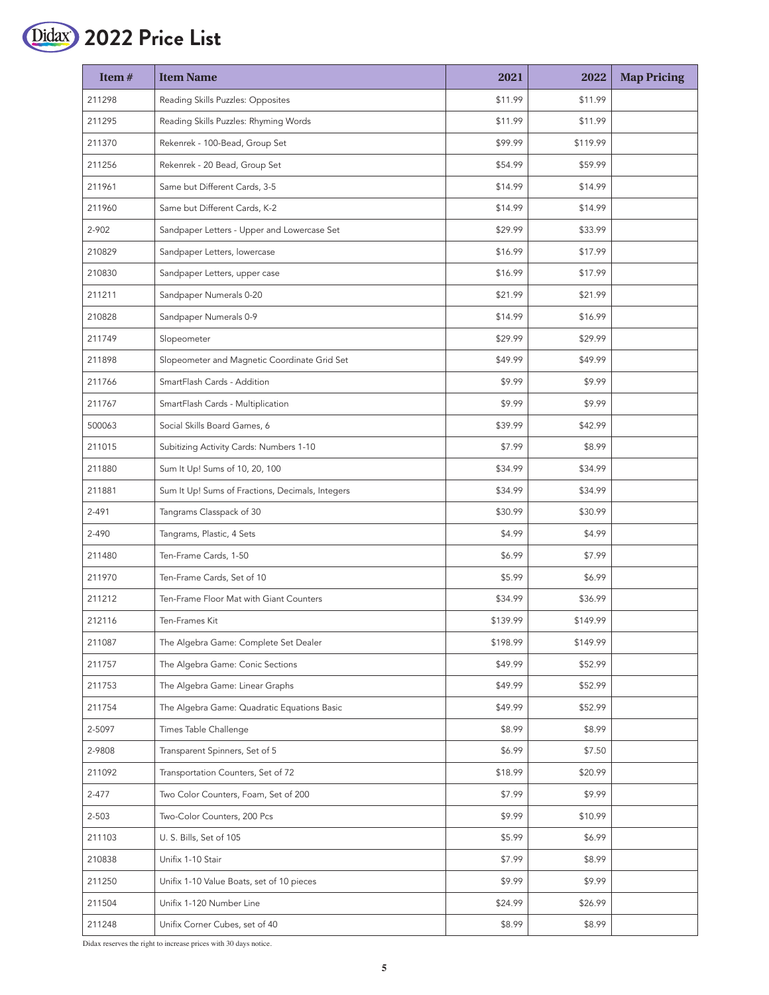

| Item#     | <b>Item Name</b>                                 | 2021     | 2022     | <b>Map Pricing</b> |
|-----------|--------------------------------------------------|----------|----------|--------------------|
| 211298    | Reading Skills Puzzles: Opposites                | \$11.99  | \$11.99  |                    |
| 211295    | Reading Skills Puzzles: Rhyming Words            | \$11.99  | \$11.99  |                    |
| 211370    | Rekenrek - 100-Bead, Group Set                   | \$99.99  | \$119.99 |                    |
| 211256    | Rekenrek - 20 Bead, Group Set                    | \$54.99  | \$59.99  |                    |
| 211961    | Same but Different Cards, 3-5                    | \$14.99  | \$14.99  |                    |
| 211960    | Same but Different Cards, K-2                    | \$14.99  | \$14.99  |                    |
| 2-902     | Sandpaper Letters - Upper and Lowercase Set      | \$29.99  | \$33.99  |                    |
| 210829    | Sandpaper Letters, lowercase                     | \$16.99  | \$17.99  |                    |
| 210830    | Sandpaper Letters, upper case                    | \$16.99  | \$17.99  |                    |
| 211211    | Sandpaper Numerals 0-20                          | \$21.99  | \$21.99  |                    |
| 210828    | Sandpaper Numerals 0-9                           | \$14.99  | \$16.99  |                    |
| 211749    | Slopeometer                                      | \$29.99  | \$29.99  |                    |
| 211898    | Slopeometer and Magnetic Coordinate Grid Set     | \$49.99  | \$49.99  |                    |
| 211766    | SmartFlash Cards - Addition                      | \$9.99   | \$9.99   |                    |
| 211767    | SmartFlash Cards - Multiplication                | \$9.99   | \$9.99   |                    |
| 500063    | Social Skills Board Games, 6                     | \$39.99  | \$42.99  |                    |
| 211015    | Subitizing Activity Cards: Numbers 1-10          | \$7.99   | \$8.99   |                    |
| 211880    | Sum It Up! Sums of 10, 20, 100                   | \$34.99  | \$34.99  |                    |
| 211881    | Sum It Up! Sums of Fractions, Decimals, Integers | \$34.99  | \$34.99  |                    |
| 2-491     | Tangrams Classpack of 30                         | \$30.99  | \$30.99  |                    |
| 2-490     | Tangrams, Plastic, 4 Sets                        | \$4.99   | \$4.99   |                    |
| 211480    | Ten-Frame Cards, 1-50                            | \$6.99   | \$7.99   |                    |
| 211970    | Ten-Frame Cards, Set of 10                       | \$5.99   | \$6.99   |                    |
| 211212    | Ten-Frame Floor Mat with Giant Counters          | \$34.99  | \$36.99  |                    |
| 212116    | Ten-Frames Kit                                   | \$139.99 | \$149.99 |                    |
| 211087    | The Algebra Game: Complete Set Dealer            | \$198.99 | \$149.99 |                    |
| 211757    | The Algebra Game: Conic Sections                 | \$49.99  | \$52.99  |                    |
| 211753    | The Algebra Game: Linear Graphs                  | \$49.99  | \$52.99  |                    |
| 211754    | The Algebra Game: Quadratic Equations Basic      | \$49.99  | \$52.99  |                    |
| 2-5097    | Times Table Challenge                            | \$8.99   | \$8.99   |                    |
| 2-9808    | Transparent Spinners, Set of 5                   | \$6.99   | \$7.50   |                    |
| 211092    | Transportation Counters, Set of 72               | \$18.99  | \$20.99  |                    |
| $2 - 477$ | Two Color Counters, Foam, Set of 200             | \$7.99   | \$9.99   |                    |
| 2-503     | Two-Color Counters, 200 Pcs                      | \$9.99   | \$10.99  |                    |
| 211103    | U.S. Bills, Set of 105                           | \$5.99   | \$6.99   |                    |
| 210838    | Unifix 1-10 Stair                                | \$7.99   | \$8.99   |                    |
| 211250    | Unifix 1-10 Value Boats, set of 10 pieces        | \$9.99   | \$9.99   |                    |
| 211504    | Unifix 1-120 Number Line                         | \$24.99  | \$26.99  |                    |
| 211248    | Unifix Corner Cubes, set of 40                   | \$8.99   | \$8.99   |                    |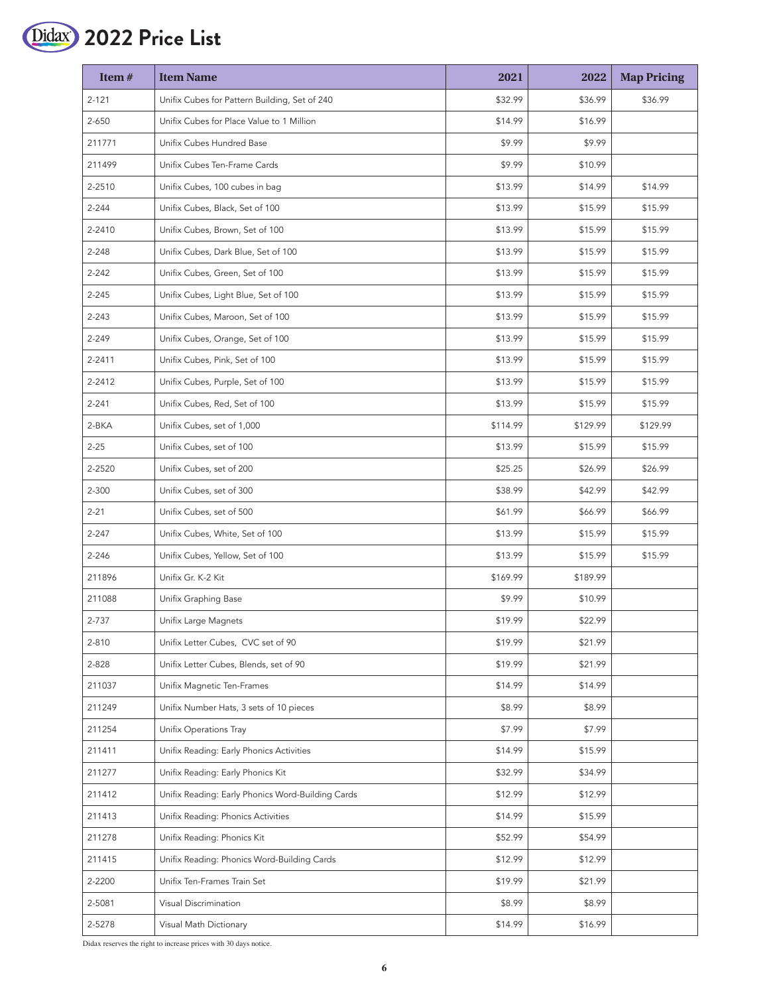

| Item#     | <b>Item Name</b>                                  | 2021     | 2022     | <b>Map Pricing</b> |
|-----------|---------------------------------------------------|----------|----------|--------------------|
| $2 - 121$ | Unifix Cubes for Pattern Building, Set of 240     | \$32.99  | \$36.99  | \$36.99            |
| 2-650     | Unifix Cubes for Place Value to 1 Million         | \$14.99  | \$16.99  |                    |
| 211771    | Unifix Cubes Hundred Base                         | \$9.99   | \$9.99   |                    |
| 211499    | Unifix Cubes Ten-Frame Cards                      | \$9.99   | \$10.99  |                    |
| 2-2510    | Unifix Cubes, 100 cubes in bag                    | \$13.99  | \$14.99  | \$14.99            |
| 2-244     | Unifix Cubes, Black, Set of 100                   | \$13.99  | \$15.99  | \$15.99            |
| 2-2410    | Unifix Cubes, Brown, Set of 100                   | \$13.99  | \$15.99  | \$15.99            |
| 2-248     | Unifix Cubes, Dark Blue, Set of 100               | \$13.99  | \$15.99  | \$15.99            |
| $2 - 242$ | Unifix Cubes, Green, Set of 100                   | \$13.99  | \$15.99  | \$15.99            |
| 2-245     | Unifix Cubes, Light Blue, Set of 100              | \$13.99  | \$15.99  | \$15.99            |
| $2 - 243$ | Unifix Cubes, Maroon, Set of 100                  | \$13.99  | \$15.99  | \$15.99            |
| 2-249     | Unifix Cubes, Orange, Set of 100                  | \$13.99  | \$15.99  | \$15.99            |
| 2-2411    | Unifix Cubes, Pink, Set of 100                    | \$13.99  | \$15.99  | \$15.99            |
| 2-2412    | Unifix Cubes, Purple, Set of 100                  | \$13.99  | \$15.99  | \$15.99            |
| $2 - 241$ | Unifix Cubes, Red, Set of 100                     | \$13.99  | \$15.99  | \$15.99            |
| 2-BKA     | Unifix Cubes, set of 1,000                        | \$114.99 | \$129.99 | \$129.99           |
| $2 - 25$  | Unifix Cubes, set of 100                          | \$13.99  | \$15.99  | \$15.99            |
| 2-2520    | Unifix Cubes, set of 200                          | \$25.25  | \$26.99  | \$26.99            |
| 2-300     | Unifix Cubes, set of 300                          | \$38.99  | \$42.99  | \$42.99            |
| $2 - 21$  | Unifix Cubes, set of 500                          | \$61.99  | \$66.99  | \$66.99            |
| $2 - 247$ | Unifix Cubes, White, Set of 100                   | \$13.99  | \$15.99  | \$15.99            |
| 2-246     | Unifix Cubes, Yellow, Set of 100                  | \$13.99  | \$15.99  | \$15.99            |
| 211896    | Unifix Gr. K-2 Kit                                | \$169.99 | \$189.99 |                    |
| 211088    | Unifix Graphing Base                              | \$9.99   | \$10.99  |                    |
| 2-737     | Unifix Large Magnets                              | \$19.99  | \$22.99  |                    |
| 2-810     | Unifix Letter Cubes, CVC set of 90                | \$19.99  | \$21.99  |                    |
| 2-828     | Unifix Letter Cubes, Blends, set of 90            | \$19.99  | \$21.99  |                    |
| 211037    | Unifix Magnetic Ten-Frames                        | \$14.99  | \$14.99  |                    |
| 211249    | Unifix Number Hats, 3 sets of 10 pieces           | \$8.99   | \$8.99   |                    |
| 211254    | Unifix Operations Tray                            | \$7.99   | \$7.99   |                    |
| 211411    | Unifix Reading: Early Phonics Activities          | \$14.99  | \$15.99  |                    |
| 211277    | Unifix Reading: Early Phonics Kit                 | \$32.99  | \$34.99  |                    |
| 211412    | Unifix Reading: Early Phonics Word-Building Cards | \$12.99  | \$12.99  |                    |
| 211413    | Unifix Reading: Phonics Activities                | \$14.99  | \$15.99  |                    |
| 211278    | Unifix Reading: Phonics Kit                       | \$52.99  | \$54.99  |                    |
| 211415    | Unifix Reading: Phonics Word-Building Cards       | \$12.99  | \$12.99  |                    |
| 2-2200    | Unifix Ten-Frames Train Set                       | \$19.99  | \$21.99  |                    |
| 2-5081    | Visual Discrimination                             | \$8.99   | \$8.99   |                    |
| 2-5278    | Visual Math Dictionary                            | \$14.99  | \$16.99  |                    |